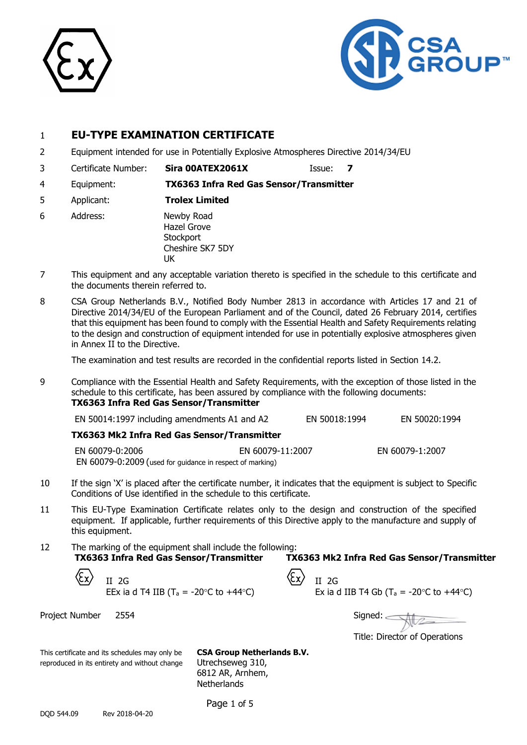



# 1 **EU-TYPE EXAMINATION CERTIFICATE**

- 2 Equipment intended for use in Potentially Explosive Atmospheres Directive 2014/34/EU
- 3 Certificate Number: **Sira 00ATEX2061X** Issue: **7**
- 4 Equipment: **TX6363 Infra Red Gas Sensor/Transmitter**
- 5 Applicant: **Trolex Limited**
- 6 Address: Newby Road Hazel Grove **Stockport** Cheshire SK7 5DY UK
- 7 This equipment and any acceptable variation thereto is specified in the schedule to this certificate and the documents therein referred to.
- 8 CSA Group Netherlands B.V., Notified Body Number 2813 in accordance with Articles 17 and 21 of Directive 2014/34/EU of the European Parliament and of the Council, dated 26 February 2014, certifies that this equipment has been found to comply with the Essential Health and Safety Requirements relating to the design and construction of equipment intended for use in potentially explosive atmospheres given in Annex II to the Directive.

The examination and test results are recorded in the confidential reports listed in Section 14.2.

9 Compliance with the Essential Health and Safety Requirements, with the exception of those listed in the schedule to this certificate, has been assured by compliance with the following documents: **TX6363 Infra Red Gas Sensor/Transmitter** 

| EN 50014:1997 including amendments A1 and A2<br>EN 50018:1994 |  |  | EN 50020:1994   |
|---------------------------------------------------------------|--|--|-----------------|
| TX6363 Mk2 Infra Red Gas Sensor/Transmitter                   |  |  |                 |
| EN 60079-0:2006<br>EN 60079-11:2007                           |  |  | EN 60079-1:2007 |
| EN 60079-0:2009 (used for guidance in respect of marking)     |  |  |                 |

- 10 If the sign 'X' is placed after the certificate number, it indicates that the equipment is subject to Specific Conditions of Use identified in the schedule to this certificate.
- 11 This EU-Type Examination Certificate relates only to the design and construction of the specified equipment. If applicable, further requirements of this Directive apply to the manufacture and supply of this equipment.
- 12 The marking of the equipment shall include the following: **TX6363 Infra Red Gas Sensor/Transmitter TX6363 Mk2 Infra Red Gas Sensor/Transmitter**

II 2G  $\angle$  II 2G EEx ia d T4 IIB (T<sub>a</sub> = -20°C to +44°C)

| II 2G                                                                   |
|-------------------------------------------------------------------------|
| Ex ia d IIB T4 Gb (T <sub>a</sub> = -20 $\degree$ C to +44 $\degree$ C) |

Project Number 2554  $\sqrt{2}$ 

Title: Director of Operations

This certificate and its schedules may only be **CSA Group Netherlands B.V.** reproduced in its entirety and without change Utrechseweg 310,

6812 AR, Arnhem, **Netherlands** 

Page 1 of 5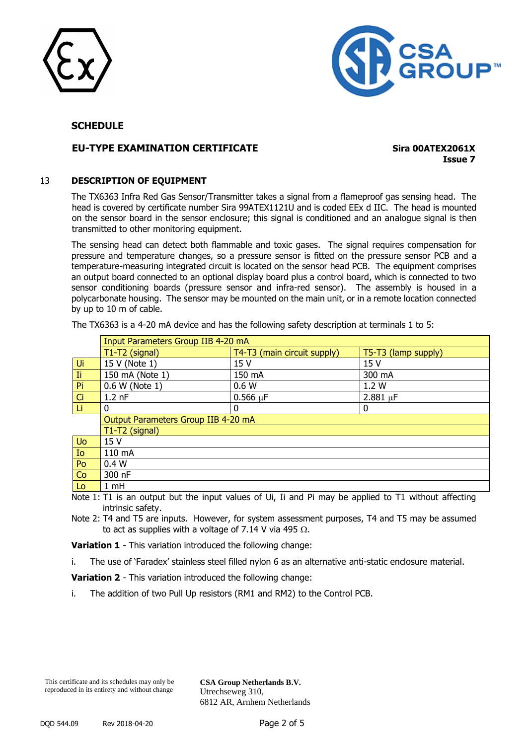



# **EU-TYPE EXAMINATION CERTIFICATE Sira 00ATEX2061X**

**Issue 7**

### 13 **DESCRIPTION OF EQUIPMENT**

The TX6363 Infra Red Gas Sensor/Transmitter takes a signal from a flameproof gas sensing head. The head is covered by certificate number Sira 99ATEX1121U and is coded EEx d IIC. The head is mounted on the sensor board in the sensor enclosure; this signal is conditioned and an analogue signal is then transmitted to other monitoring equipment.

The sensing head can detect both flammable and toxic gases. The signal requires compensation for pressure and temperature changes, so a pressure sensor is fitted on the pressure sensor PCB and a temperature-measuring integrated circuit is located on the sensor head PCB. The equipment comprises an output board connected to an optional display board plus a control board, which is connected to two sensor conditioning boards (pressure sensor and infra-red sensor). The assembly is housed in a polycarbonate housing. The sensor may be mounted on the main unit, or in a remote location connected by up to 10 m of cable.

|           | Input Parameters Group IIB 4-20 mA  |                             |                                                                    |  |  |  |
|-----------|-------------------------------------|-----------------------------|--------------------------------------------------------------------|--|--|--|
|           | T1-T2 (signal)                      | T4-T3 (main circuit supply) | T5-T3 (lamp supply)                                                |  |  |  |
| Ui        | 15 V (Note 1)                       | 15 V                        | 15 V                                                               |  |  |  |
| Ti.       | 150 mA (Note 1)                     | 150 mA                      | 300 mA                                                             |  |  |  |
| Pi        | 0.6 W (Note 1)                      | 0.6W                        | 1.2 W                                                              |  |  |  |
| Ci        | $1.2$ nF                            | $0.566 \mu F$               | $2.881 \mu F$                                                      |  |  |  |
| Li        | 0                                   |                             | 0                                                                  |  |  |  |
|           | Output Parameters Group IIB 4-20 mA |                             |                                                                    |  |  |  |
|           | T1-T2 (signal)                      |                             |                                                                    |  |  |  |
| <b>Uo</b> | 15 V                                |                             |                                                                    |  |  |  |
| Io        | 110 mA                              |                             |                                                                    |  |  |  |
| Po        | 0.4 W                               |                             |                                                                    |  |  |  |
| Co        | 300 nF                              |                             |                                                                    |  |  |  |
| Lo:       | $1 \text{ mH}$                      |                             |                                                                    |  |  |  |
| .         | —                                   | $\sim$ $\sim$ $\sim$ $\sim$ | $\mathbf{r}$ , and $\mathbf{r}$ , and $\mathbf{r}$<br>$\mathbf{r}$ |  |  |  |

The TX6363 is a 4-20 mA device and has the following safety description at terminals 1 to 5:

Note 1: T1 is an output but the input values of Ui, Ii and Pi may be applied to T1 without affecting intrinsic safety.

Note 2: T4 and T5 are inputs. However, for system assessment purposes, T4 and T5 may be assumed to act as supplies with a voltage of 7.14 V via 495  $\Omega$ .

**Variation 1** - This variation introduced the following change:

i. The use of 'Faradex' stainless steel filled nylon 6 as an alternative anti-static enclosure material.

**Variation 2** - This variation introduced the following change:

i. The addition of two Pull Up resistors (RM1 and RM2) to the Control PCB.

**CSA Group Netherlands B.V.** Utrechseweg 310, 6812 AR, Arnhem Netherlands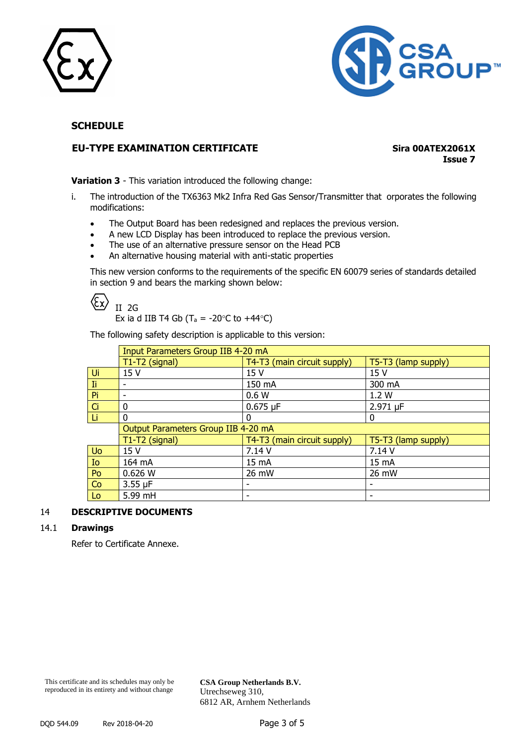



# **EU-TYPE EXAMINATION CERTIFICATE Sira 00ATEX2061X**

**Issue 7**

**Variation 3** - This variation introduced the following change:

- i. The introduction of the TX6363 Mk2 Infra Red Gas Sensor/Transmitter that orporates the following modifications:
	- The Output Board has been redesigned and replaces the previous version.
	- A new LCD Display has been introduced to replace the previous version.
	- The use of an alternative pressure sensor on the Head PCB
	- An alternative housing material with anti-static properties

This new version conforms to the requirements of the specific EN 60079 series of standards detailed in section 9 and bears the marking shown below:

 $\langle \xi_{\mathsf{X}}$ II 2G

Ex ia d IIB T4 Gb (T<sub>a</sub> = -20 $\degree$ C to +44 $\degree$ C)

The following safety description is applicable to this version:

|     | Input Parameters Group IIB 4-20 mA  |                             |                     |  |  |
|-----|-------------------------------------|-----------------------------|---------------------|--|--|
|     | T1-T2 (signal)                      | T4-T3 (main circuit supply) | T5-T3 (lamp supply) |  |  |
| Ui  | 15 V                                | 15 <sub>V</sub>             | 15 <sub>V</sub>     |  |  |
| Ii. | $\overline{\phantom{0}}$            | 150 mA                      | 300 mA              |  |  |
| Pi  | ٠                                   | 0.6W                        | 1.2W                |  |  |
| Ci  | 0                                   | $0.675 \mu F$               | 2.971 µF            |  |  |
| Li  | 0                                   | U                           | 0                   |  |  |
|     | Output Parameters Group IIB 4-20 mA |                             |                     |  |  |
|     | T1-T2 (signal)                      | T4-T3 (main circuit supply) | T5-T3 (lamp supply) |  |  |
| Uo  | 15 V                                | 7.14 V                      | 7.14 V              |  |  |
| Io  | 164 mA                              | 15 mA                       | 15 mA               |  |  |
| Po  | 0.626 W                             | 26 mW                       | 26 mW               |  |  |
| Co  | $3.55 \mu F$                        |                             |                     |  |  |
| Lo  | 5.99 mH                             |                             |                     |  |  |

### 14 **DESCRIPTIVE DOCUMENTS**

### 14.1 **Drawings**

Refer to Certificate Annexe.

This certificate and its schedules may only be reproduced in its entirety and without change

**CSA Group Netherlands B.V.** Utrechseweg 310, 6812 AR, Arnhem Netherlands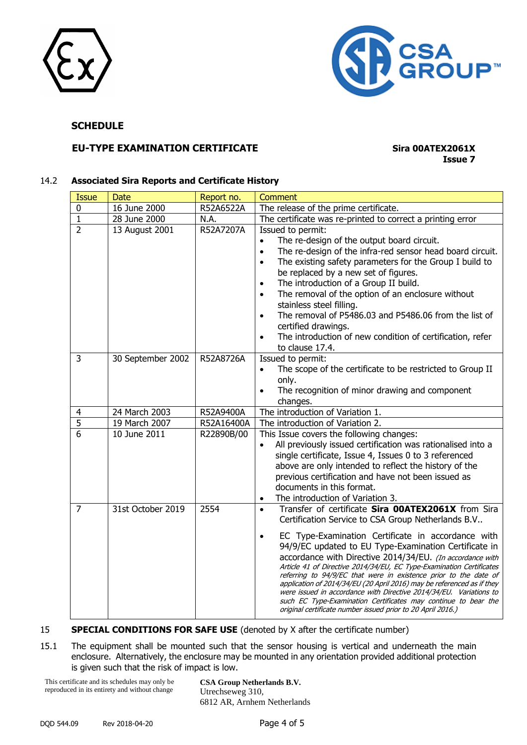



# **EU-TYPE EXAMINATION CERTIFICATE Sira 00ATEX2061X**

# **Issue 7**

### 14.2 **Associated Sira Reports and Certificate History**

| <b>Issue</b>                  | <b>Date</b>                                                                              | Report no.                                                 | <b>Comment</b>                                                                                                                                                                                                                                                                                                                                                                                                                                                                                                                                                                                                                                                                                                                                                                                                                                                                                                                           |
|-------------------------------|------------------------------------------------------------------------------------------|------------------------------------------------------------|------------------------------------------------------------------------------------------------------------------------------------------------------------------------------------------------------------------------------------------------------------------------------------------------------------------------------------------------------------------------------------------------------------------------------------------------------------------------------------------------------------------------------------------------------------------------------------------------------------------------------------------------------------------------------------------------------------------------------------------------------------------------------------------------------------------------------------------------------------------------------------------------------------------------------------------|
| 0                             | 16 June 2000                                                                             | R52A6522A                                                  | The release of the prime certificate.                                                                                                                                                                                                                                                                                                                                                                                                                                                                                                                                                                                                                                                                                                                                                                                                                                                                                                    |
| $\mathbf{1}$                  | 28 June 2000                                                                             | N.A.                                                       | The certificate was re-printed to correct a printing error                                                                                                                                                                                                                                                                                                                                                                                                                                                                                                                                                                                                                                                                                                                                                                                                                                                                               |
| $\overline{2}$                | 13 August 2001                                                                           | R52A7207A                                                  | Issued to permit:                                                                                                                                                                                                                                                                                                                                                                                                                                                                                                                                                                                                                                                                                                                                                                                                                                                                                                                        |
|                               |                                                                                          |                                                            | The re-design of the output board circuit.<br>$\bullet$                                                                                                                                                                                                                                                                                                                                                                                                                                                                                                                                                                                                                                                                                                                                                                                                                                                                                  |
|                               |                                                                                          |                                                            | The re-design of the infra-red sensor head board circuit.<br>$\bullet$                                                                                                                                                                                                                                                                                                                                                                                                                                                                                                                                                                                                                                                                                                                                                                                                                                                                   |
|                               |                                                                                          |                                                            | The existing safety parameters for the Group I build to<br>$\bullet$                                                                                                                                                                                                                                                                                                                                                                                                                                                                                                                                                                                                                                                                                                                                                                                                                                                                     |
|                               |                                                                                          |                                                            | be replaced by a new set of figures.                                                                                                                                                                                                                                                                                                                                                                                                                                                                                                                                                                                                                                                                                                                                                                                                                                                                                                     |
|                               |                                                                                          |                                                            | The introduction of a Group II build.<br>$\bullet$                                                                                                                                                                                                                                                                                                                                                                                                                                                                                                                                                                                                                                                                                                                                                                                                                                                                                       |
|                               |                                                                                          |                                                            | The removal of the option of an enclosure without<br>$\bullet$                                                                                                                                                                                                                                                                                                                                                                                                                                                                                                                                                                                                                                                                                                                                                                                                                                                                           |
|                               |                                                                                          |                                                            | stainless steel filling.                                                                                                                                                                                                                                                                                                                                                                                                                                                                                                                                                                                                                                                                                                                                                                                                                                                                                                                 |
|                               |                                                                                          |                                                            | The removal of P5486.03 and P5486.06 from the list of<br>$\bullet$                                                                                                                                                                                                                                                                                                                                                                                                                                                                                                                                                                                                                                                                                                                                                                                                                                                                       |
|                               |                                                                                          |                                                            | certified drawings.                                                                                                                                                                                                                                                                                                                                                                                                                                                                                                                                                                                                                                                                                                                                                                                                                                                                                                                      |
|                               |                                                                                          |                                                            | The introduction of new condition of certification, refer<br>$\bullet$                                                                                                                                                                                                                                                                                                                                                                                                                                                                                                                                                                                                                                                                                                                                                                                                                                                                   |
|                               |                                                                                          |                                                            | to clause 17.4.                                                                                                                                                                                                                                                                                                                                                                                                                                                                                                                                                                                                                                                                                                                                                                                                                                                                                                                          |
| 3                             |                                                                                          |                                                            | Issued to permit:                                                                                                                                                                                                                                                                                                                                                                                                                                                                                                                                                                                                                                                                                                                                                                                                                                                                                                                        |
|                               |                                                                                          |                                                            | The scope of the certificate to be restricted to Group II<br>$\bullet$                                                                                                                                                                                                                                                                                                                                                                                                                                                                                                                                                                                                                                                                                                                                                                                                                                                                   |
|                               |                                                                                          |                                                            |                                                                                                                                                                                                                                                                                                                                                                                                                                                                                                                                                                                                                                                                                                                                                                                                                                                                                                                                          |
|                               |                                                                                          |                                                            |                                                                                                                                                                                                                                                                                                                                                                                                                                                                                                                                                                                                                                                                                                                                                                                                                                                                                                                                          |
|                               |                                                                                          |                                                            | changes.                                                                                                                                                                                                                                                                                                                                                                                                                                                                                                                                                                                                                                                                                                                                                                                                                                                                                                                                 |
|                               |                                                                                          |                                                            |                                                                                                                                                                                                                                                                                                                                                                                                                                                                                                                                                                                                                                                                                                                                                                                                                                                                                                                                          |
|                               |                                                                                          |                                                            |                                                                                                                                                                                                                                                                                                                                                                                                                                                                                                                                                                                                                                                                                                                                                                                                                                                                                                                                          |
|                               |                                                                                          |                                                            |                                                                                                                                                                                                                                                                                                                                                                                                                                                                                                                                                                                                                                                                                                                                                                                                                                                                                                                                          |
|                               |                                                                                          |                                                            | $\bullet$                                                                                                                                                                                                                                                                                                                                                                                                                                                                                                                                                                                                                                                                                                                                                                                                                                                                                                                                |
|                               |                                                                                          |                                                            |                                                                                                                                                                                                                                                                                                                                                                                                                                                                                                                                                                                                                                                                                                                                                                                                                                                                                                                                          |
|                               |                                                                                          |                                                            |                                                                                                                                                                                                                                                                                                                                                                                                                                                                                                                                                                                                                                                                                                                                                                                                                                                                                                                                          |
|                               |                                                                                          |                                                            |                                                                                                                                                                                                                                                                                                                                                                                                                                                                                                                                                                                                                                                                                                                                                                                                                                                                                                                                          |
|                               |                                                                                          |                                                            |                                                                                                                                                                                                                                                                                                                                                                                                                                                                                                                                                                                                                                                                                                                                                                                                                                                                                                                                          |
|                               |                                                                                          |                                                            | $\bullet$                                                                                                                                                                                                                                                                                                                                                                                                                                                                                                                                                                                                                                                                                                                                                                                                                                                                                                                                |
|                               |                                                                                          |                                                            | $\bullet$                                                                                                                                                                                                                                                                                                                                                                                                                                                                                                                                                                                                                                                                                                                                                                                                                                                                                                                                |
|                               |                                                                                          |                                                            |                                                                                                                                                                                                                                                                                                                                                                                                                                                                                                                                                                                                                                                                                                                                                                                                                                                                                                                                          |
|                               |                                                                                          |                                                            |                                                                                                                                                                                                                                                                                                                                                                                                                                                                                                                                                                                                                                                                                                                                                                                                                                                                                                                                          |
|                               |                                                                                          |                                                            |                                                                                                                                                                                                                                                                                                                                                                                                                                                                                                                                                                                                                                                                                                                                                                                                                                                                                                                                          |
|                               |                                                                                          |                                                            |                                                                                                                                                                                                                                                                                                                                                                                                                                                                                                                                                                                                                                                                                                                                                                                                                                                                                                                                          |
|                               |                                                                                          |                                                            | Article 41 of Directive 2014/34/EU, EC Type-Examination Certificates                                                                                                                                                                                                                                                                                                                                                                                                                                                                                                                                                                                                                                                                                                                                                                                                                                                                     |
|                               |                                                                                          |                                                            | referring to 94/9/EC that were in existence prior to the date of                                                                                                                                                                                                                                                                                                                                                                                                                                                                                                                                                                                                                                                                                                                                                                                                                                                                         |
|                               |                                                                                          |                                                            |                                                                                                                                                                                                                                                                                                                                                                                                                                                                                                                                                                                                                                                                                                                                                                                                                                                                                                                                          |
|                               |                                                                                          |                                                            | such EC Type-Examination Certificates may continue to bear the                                                                                                                                                                                                                                                                                                                                                                                                                                                                                                                                                                                                                                                                                                                                                                                                                                                                           |
|                               |                                                                                          |                                                            | original certificate number issued prior to 20 April 2016.)                                                                                                                                                                                                                                                                                                                                                                                                                                                                                                                                                                                                                                                                                                                                                                                                                                                                              |
| 4<br>5<br>6<br>$\overline{7}$ | 30 September 2002<br>24 March 2003<br>19 March 2007<br>10 June 2011<br>31st October 2019 | R52A8726A<br>R52A9400A<br>R52A16400A<br>R22890B/00<br>2554 | only.<br>The recognition of minor drawing and component<br>The introduction of Variation 1.<br>The introduction of Variation 2.<br>This Issue covers the following changes:<br>All previously issued certification was rationalised into a<br>single certificate, Issue 4, Issues 0 to 3 referenced<br>above are only intended to reflect the history of the<br>previous certification and have not been issued as<br>documents in this format.<br>The introduction of Variation 3.<br>Transfer of certificate Sira 00ATEX2061X from Sira<br>Certification Service to CSA Group Netherlands B.V<br>EC Type-Examination Certificate in accordance with<br>$\bullet$<br>94/9/EC updated to EU Type-Examination Certificate in<br>accordance with Directive 2014/34/EU. (In accordance with<br>application of 2014/34/EU (20 April 2016) may be referenced as if they<br>were issued in accordance with Directive 2014/34/EU. Variations to |

15 **SPECIAL CONDITIONS FOR SAFE USE** (denoted by X after the certificate number)

15.1 The equipment shall be mounted such that the sensor housing is vertical and underneath the main enclosure. Alternatively, the enclosure may be mounted in any orientation provided additional protection is given such that the risk of impact is low.

This certificate and its schedules may only be reproduced in its entirety and without change

**CSA Group Netherlands B.V.** Utrechseweg 310, 6812 AR, Arnhem Netherlands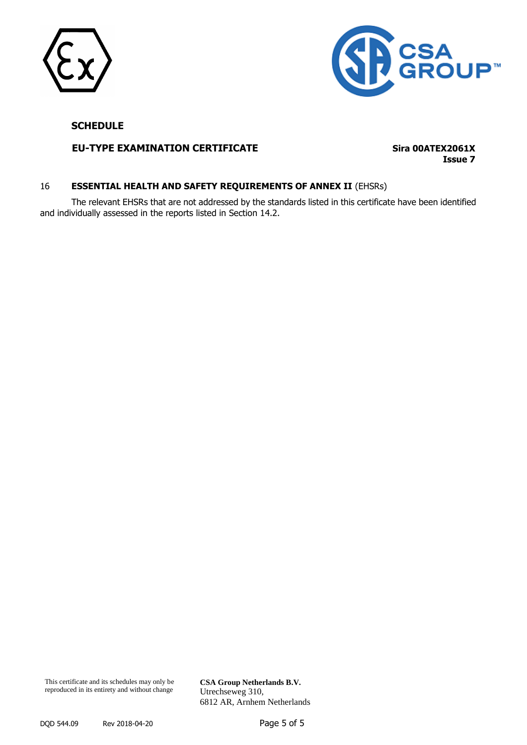



# **EU-TYPE EXAMINATION CERTIFICATE Sira 00ATEX2061X**

**Issue 7**

# 16 **ESSENTIAL HEALTH AND SAFETY REQUIREMENTS OF ANNEX II** (EHSRs)

The relevant EHSRs that are not addressed by the standards listed in this certificate have been identified and individually assessed in the reports listed in Section 14.2.

This certificate and its schedules may only be reproduced in its entirety and without change

Utrechseweg 310, 6812 AR, Arnhem Netherlands

**CSA Group Netherlands B.V.**